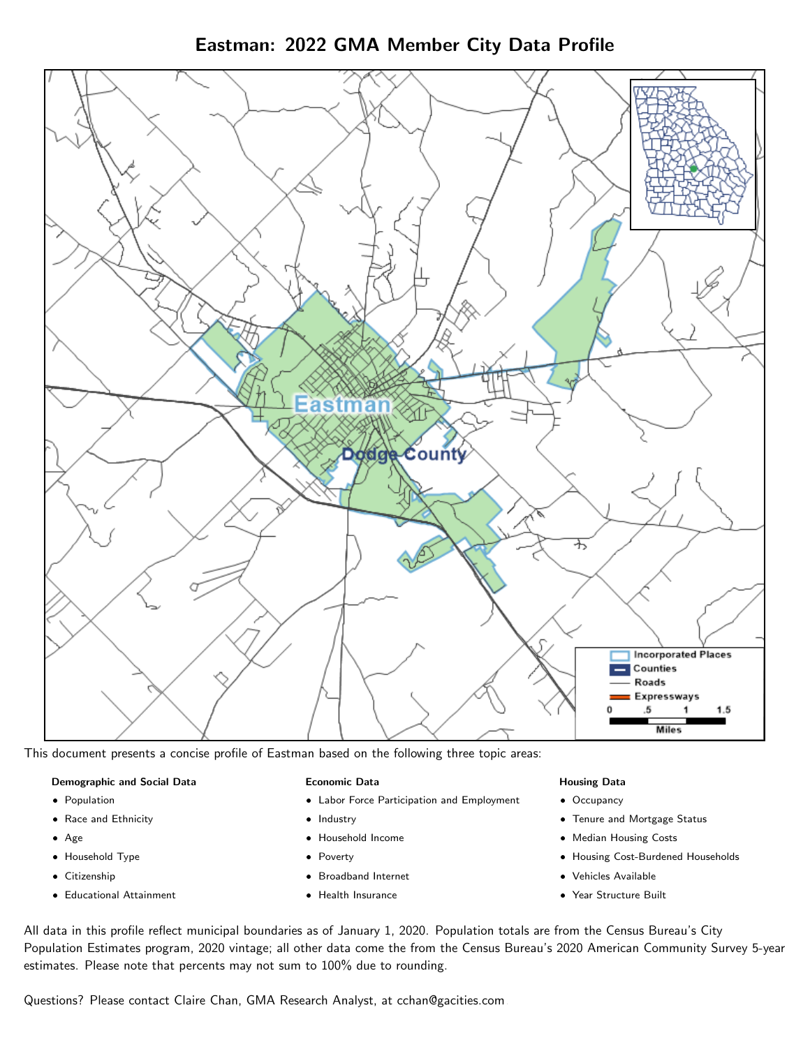Eastman: 2022 GMA Member City Data Profile



This document presents a concise profile of Eastman based on the following three topic areas:

#### Demographic and Social Data

- **•** Population
- Race and Ethnicity
- Age
- Household Type
- **Citizenship**
- Educational Attainment

#### Economic Data

- Labor Force Participation and Employment
- Industry
- Household Income
- Poverty
- Broadband Internet
- Health Insurance

#### Housing Data

- Occupancy
- Tenure and Mortgage Status
- Median Housing Costs
- Housing Cost-Burdened Households
- Vehicles Available
- Year Structure Built

All data in this profile reflect municipal boundaries as of January 1, 2020. Population totals are from the Census Bureau's City Population Estimates program, 2020 vintage; all other data come the from the Census Bureau's 2020 American Community Survey 5-year estimates. Please note that percents may not sum to 100% due to rounding.

Questions? Please contact Claire Chan, GMA Research Analyst, at [cchan@gacities.com.](mailto:cchan@gacities.com)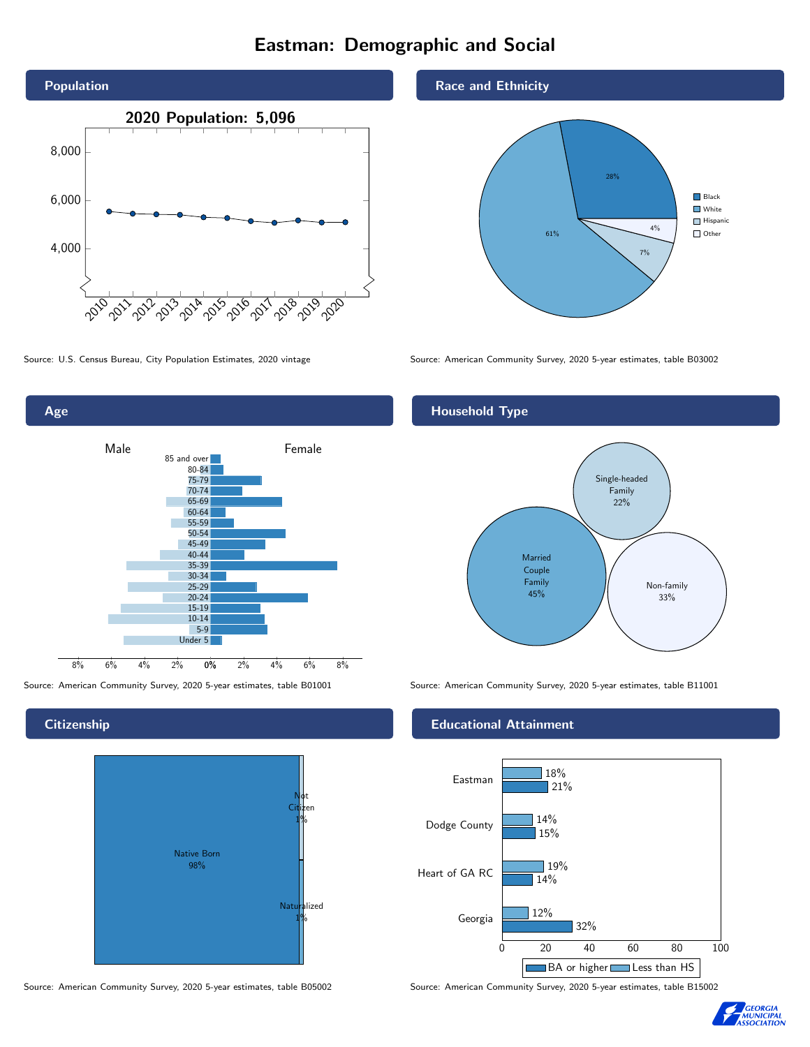# Eastman: Demographic and Social





**Citizenship** 



Source: American Community Survey, 2020 5-year estimates, table B05002 Source: American Community Survey, 2020 5-year estimates, table B15002

#### Race and Ethnicity



Source: U.S. Census Bureau, City Population Estimates, 2020 vintage Source: American Community Survey, 2020 5-year estimates, table B03002

## Household Type



Source: American Community Survey, 2020 5-year estimates, table B01001 Source: American Community Survey, 2020 5-year estimates, table B11001

#### Educational Attainment



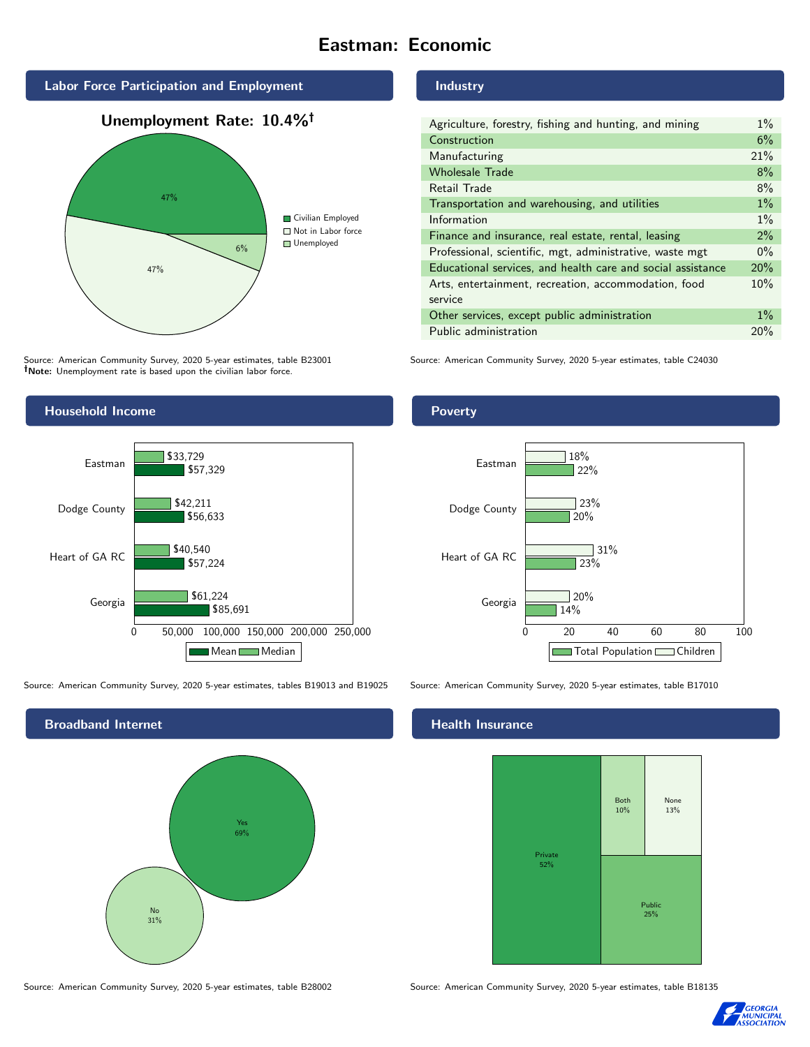# Eastman: Economic



Source: American Community Survey, 2020 5-year estimates, table B23001 Note: Unemployment rate is based upon the civilian labor force.

## Industry

| Agriculture, forestry, fishing and hunting, and mining      | $1\%$ |
|-------------------------------------------------------------|-------|
| Construction                                                | 6%    |
| Manufacturing                                               | 21%   |
| <b>Wholesale Trade</b>                                      | 8%    |
| Retail Trade                                                | 8%    |
| Transportation and warehousing, and utilities               | $1\%$ |
| Information                                                 | $1\%$ |
| Finance and insurance, real estate, rental, leasing         | $2\%$ |
| Professional, scientific, mgt, administrative, waste mgt    | $0\%$ |
| Educational services, and health care and social assistance | 20%   |
| Arts, entertainment, recreation, accommodation, food        | 10%   |
| service                                                     |       |
| Other services, except public administration                | $1\%$ |
| Public administration                                       | 20%   |

Source: American Community Survey, 2020 5-year estimates, table C24030



Source: American Community Survey, 2020 5-year estimates, tables B19013 and B19025 Source: American Community Survey, 2020 5-year estimates, table B17010



Poverty



# **Health Insurance**



Source: American Community Survey, 2020 5-year estimates, table B28002 Source: American Community Survey, 2020 5-year estimates, table B18135